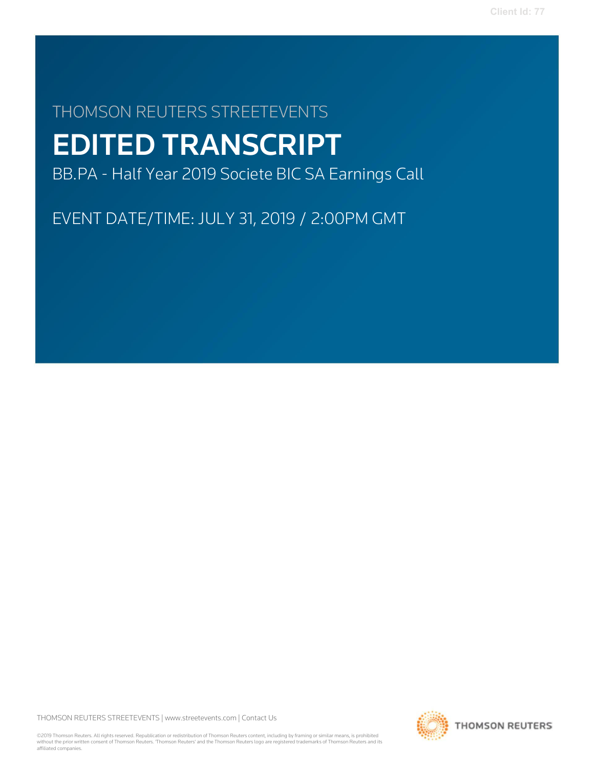# THOMSON REUTERS STREETEVENTS EDITED TRANSCRIPT

BB.PA - Half Year 2019 Societe BIC SA Earnings Call

EVENT DATE/TIME: JULY 31, 2019 / 2:00PM GMT

THOMSON REUTERS STREETEVENTS | www.streetevents.com | Contact Us

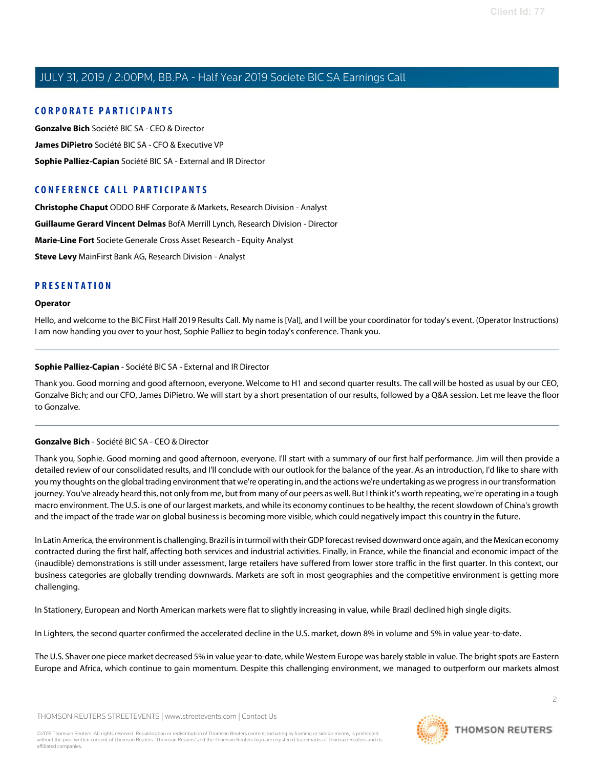## C O R P O R A TE P A R TICI P A N TS

Gonzalve Bich Société BIC SA - CEO & Director James DiPietro Société BIC SA - CFO & Executive VP Sophie Palliez-Capian Société BIC SA - External and IR Director

# CONFERENCE CALL PARTICIPANTS

Christophe Chaput ODDO BHF Corporate & Markets, Research Division - Analyst Guillaume Gerard Vincent Delmas BofA Merrill Lynch, Research Division - Director Marie-Line Fort Societe Generale Cross Asset Research - Equity Analyst Steve Levy MainFirst Bank AG, Research Division - Analyst

## PRESENTATION

#### Operator

Hello, and welcome to the BIC First Half 2019 Results Call. My name is [Val], and I will be your coordinator for today's event. (Operator Instructions) I am now handing you over to your host, Sophie Palliez to begin today's conference. Thank you.

## Sophie Palliez-Capian - Société BIC SA - External and IR Director

Thank you. Good morning and good afternoon, everyone. Welcome to H1 and second quarter results. The call will be hosted as usual by our CEO, Gonzalve Bich; and our CFO, James DiPietro. We will start by a short presentation of our results, followed by a Q&A session. Let me leave the floor to Gonzalve.

## Gonzalve Bich - Société BIC SA - CEO & Director

Thank you, Sophie. Good morning and good afternoon, everyone. I'll start with a summary of our first half performance. Jim will then provide a detailed review of our consolidated results, and I'll conclude with our outlook for the balance of the year. As an introduction, I'd like to share with you my thoughts on the global trading environment that we're operating in, and the actions we're undertaking as we progress in our transformation journey. You've already heard this, not only from me, but from many of our peers as well. But I think it's worth repeating, we're operating in a tough macro environment. The U.S. is one of our largest markets, and while its economy continuesto be healthy, the recentslowdown of China's growth and the impact of the trade war on global business is becoming more visible, which could negatively impact this country in the future.

In Latin America, the environment is challenging. Brazil is in turmoil with their GDP forecast revised downward once again, and the Mexican economy contracted during the first half, affecting both services and industrial activities. Finally, in France, while the financial and economic impact of the (inaudible) demonstrations is still under assessment, large retailers have suffered from lower store traffic in the first quarter. In this context, our business categories are globally trending downwards. Markets are soft in most geographies and the competitive environment is getting more challenging.

In Stationery, European and North American markets were flat to slightly increasing in value, while Brazil declined high single digits.

In Lighters, the second quarter confirmed the accelerated decline in the U.S. market, down 8% in volume and 5% in value year-to-date.

The U.S. Shaver one piece market decreased 5% in value year-to-date, while Western Europe was barely stable in value. The bright spots are Eastern Europe and Africa, which continue to gain momentum. Despite this challenging environment, we managed to outperform our markets almost

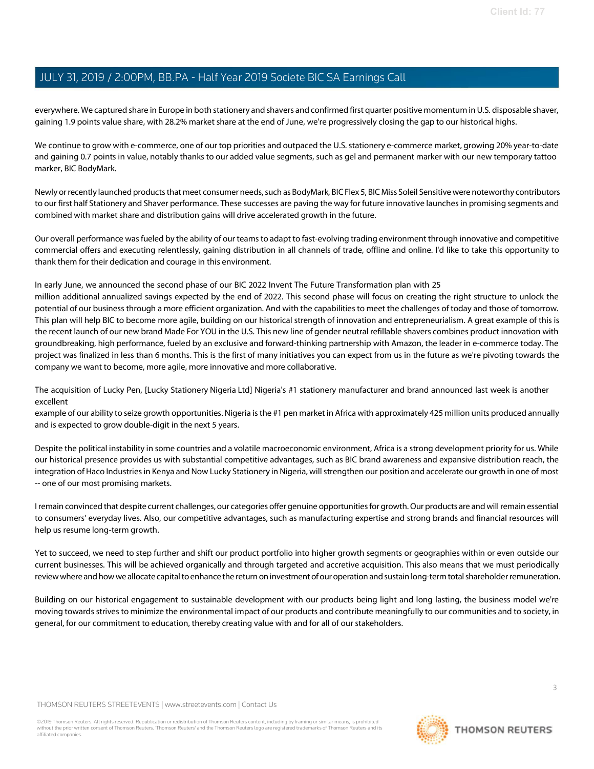everywhere. We captured share in Europe in both stationery and shavers and confirmed first quarter positive momentum in U.S. disposable shaver, gaining 1.9 points value share, with 28.2% market share at the end of June, we're progressively closing the gap to our historical highs.

We continue to grow with e-commerce, one of our top priorities and outpaced the U.S. stationery e-commerce market, growing 20% year-to-date and gaining 0.7 points in value, notably thanks to our added value segments, such as gel and permanent marker with our new temporary tattoo marker, BIC BodyMark.

Newly or recently launched products that meet consumer needs, such as BodyMark, BIC Flex 5, BIC Miss Soleil Sensitive were noteworthy contributors to our first half Stationery and Shaver performance. These successes are paving the way for future innovative launchesin promising segments and combined with market share and distribution gains will drive accelerated growth in the future.

Our overall performance wasfueled by the ability of our teamsto adapt to fast-evolving trading environment through innovative and competitive commercial offers and executing relentlessly, gaining distribution in all channels of trade, offline and online. I'd like to take this opportunity to thank them for their dedication and courage in this environment.

In early June, we announced the second phase of our BIC 2022 Invent The Future Transformation plan with 25

million additional annualized savings expected by the end of 2022. This second phase will focus on creating the right structure to unlock the potential of our business through a more efficient organization. And with the capabilitiesto meet the challenges of today and those of tomorrow. This plan will help BIC to become more agile, building on our historical strength of innovation and entrepreneurialism. A great example of this is the recent launch of our new brand Made For YOU in the U.S. This new line of gender neutral refillable shavers combines product innovation with groundbreaking, high performance, fueled by an exclusive and forward-thinking partnership with Amazon, the leader in e-commerce today. The project was finalized in less than 6 months. This is the first of many initiatives you can expect from us in the future as we're pivoting towards the company we want to become, more agile, more innovative and more collaborative.

The acquisition of Lucky Pen, [Lucky Stationery Nigeria Ltd] Nigeria's #1 stationery manufacturer and brand announced last week is another excellent

example of our ability to seize growth opportunities. Nigeria isthe #1 pen market in Africa with approximately 425 million units produced annually and is expected to grow double-digit in the next 5 years.

Despite the political instability in some countries and a volatile macroeconomic environment, Africa is a strong development priority for us. While our historical presence provides us with substantial competitive advantages, such as BIC brand awareness and expansive distribution reach, the integration of Haco Industriesin Kenya and Now Lucky Stationery in Nigeria, willstrengthen our position and accelerate our growth in one of most -- one of our most promising markets.

Iremain convinced that despite current challenges, our categories offer genuine opportunitiesfor growth.Our products are and willremain essential to consumers' everyday lives. Also, our competitive advantages, such as manufacturing expertise and strong brands and financial resources will help us resume long-term growth.

Yet to succeed, we need to step further and shift our product portfolio into higher growth segments or geographies within or even outside our current businesses. This will be achieved organically and through targeted and accretive acquisition. This also means that we must periodically review where and how we allocate capital to enhance the return on investment of our operation and sustain long-term total shareholder remuneration.

Building on our historical engagement to sustainable development with our products being light and long lasting, the business model we're moving towards strives to minimize the environmental impact of our products and contribute meaningfully to our communities and to society, in general, for our commitment to education, thereby creating value with and for all of our stakeholders.

THOMSON REUTERS STREETEVENTS | www.streetevents.com | Contact Us

©2019 Thomson Reuters. All rights reserved. Republication or redistribution of Thomson Reuters content, including by framing or similar means, is prohibited<br>without the prior written consent of Thomson Reuters: "Thomson Re affiliated companies.

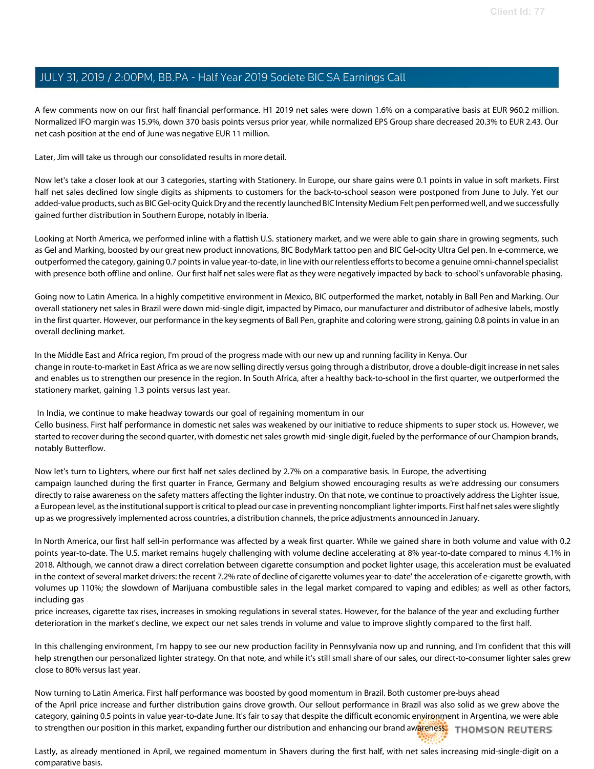A few comments now on our first half financial performance. H1 2019 net sales were down 1.6% on a comparative basis at EUR 960.2 million. Normalized IFO margin was 15.9%, down 370 basis points versus prior year, while normalized EPS Group share decreased 20.3% to EUR 2.43. Our net cash position at the end of June was negative EUR 11 million.

Later, Jim will take us through our consolidated results in more detail.

Now let's take a closer look at our 3 categories, starting with Stationery. In Europe, our share gains were 0.1 points in value in soft markets. First half net sales declined low single digits as shipments to customers for the back-to-school season were postponed from June to July. Yet our added-value products, such as BIC Gel-ocity Quick Dry and the recently launched BIC Intensity Medium Felt pen performed well, and we successfully gained further distribution in Southern Europe, notably in Iberia.

Looking at North America, we performed inline with a flattish U.S. stationery market, and we were able to gain share in growing segments, such as Gel and Marking, boosted by our great new product innovations, BIC BodyMark tattoo pen and BIC Gel-ocity Ultra Gel pen. In e-commerce, we outperformed the category, gaining 0.7 pointsin value year-to-date, in line with our relentless effortsto become a genuine omni-channelspecialist with presence both offline and online. Our first half net sales were flat as they were negatively impacted by back-to-school's unfavorable phasing.

Going now to Latin America. In a highly competitive environment in Mexico, BIC outperformed the market, notably in Ball Pen and Marking. Our overall stationery net sales in Brazil were down mid-single digit, impacted by Pimaco, our manufacturer and distributor of adhesive labels, mostly in the first quarter. However, our performance in the key segments of Ball Pen, graphite and coloring were strong, gaining 0.8 points in value in an overall declining market.

In the Middle East and Africa region, I'm proud of the progress made with our new up and running facility in Kenya. Our change in route-to-market in East Africa as we are now selling directly versus going through a distributor, drove a double-digit increase in netsales and enables us to strengthen our presence in the region. In South Africa, after a healthy back-to-school in the first quarter, we outperformed the stationery market, gaining 1.3 points versus last year.

In India, we continue to make headway towards our goal of regaining momentum in our Cello business. First half performance in domestic net sales was weakened by our initiative to reduce shipments to super stock us. However, we started to recover during the second quarter, with domestic net sales growth mid-single digit, fueled by the performance of our Champion brands, notably Butterflow.

Now let's turn to Lighters, where our first half net sales declined by 2.7% on a comparative basis. In Europe, the advertising campaign launched during the first quarter in France, Germany and Belgium showed encouraging results as we're addressing our consumers directly to raise awareness on the safety matters affecting the lighter industry. On that note, we continue to proactively address the Lighter issue, a European level, as the institutional support is critical to plead our case in preventing noncompliant lighter imports. First half net sales were slightly up as we progressively implemented across countries, a distribution channels, the price adjustments announced in January.

In North America, our first half sell-in performance was affected by a weak first quarter. While we gained share in both volume and value with 0.2 points year-to-date. The U.S. market remains hugely challenging with volume decline accelerating at 8% year-to-date compared to minus 4.1% in 2018. Although, we cannot draw a direct correlation between cigarette consumption and pocket lighter usage, this acceleration must be evaluated in the context of several market drivers: the recent 7.2% rate of decline of cigarette volumes year-to-date' the acceleration of e-cigarette growth, with volumes up 110%; the slowdown of Marijuana combustible sales in the legal market compared to vaping and edibles; as well as other factors, including gas

price increases, cigarette tax rises, increases in smoking regulations in several states. However, for the balance of the year and excluding further deterioration in the market's decline, we expect our net sales trends in volume and value to improve slightly compared to the first half.

In this challenging environment, I'm happy to see our new production facility in Pennsylvania now up and running, and I'm confident that this will help strengthen our personalized lighter strategy. On that note, and while it's still small share of our sales, our direct-to-consumer lighter sales grew close to 80% versus last year.

Now turning to Latin America. First half performance was boosted by good momentum in Brazil. Both customer pre-buys ahead of the April price increase and further distribution gains drove growth. Our sellout performance in Brazil was also solid as we grew above the category, gaining 0.5 points in value year-to-date June. It's fair to say that despite the difficult economic environment in Argentina, we were able to strengthen our position in this market, expanding further our distribution and enhancing our brand awareness. THOMSON REUTERS

Lastly, as already mentioned in April, we regained momentum in Shavers during the first half, with net sales increasing mid-single-digit on a comparative basis.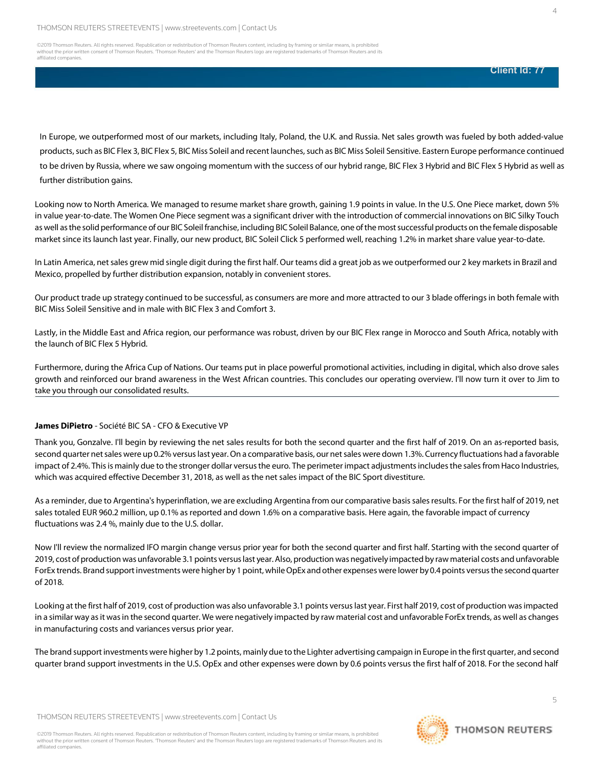©2019 Thomson Reuters. All rights reserved. Republication or redistribution of Thomson Reuters content, including by framing or similar means, is prohibited<br>without the prior written consent of Thomson Reuters: "Thomson Re affiliated companies.

#### **Client Id: 77**

4

In Europe, we outperformed most of our markets, including Italy, Poland, the U.K. and Russia. Net sales growth was fueled by both added-value products, such as BIC Flex 3, BIC Flex 5, BIC Miss Soleil and recent launches, such as BIC Miss Soleil Sensitive. Eastern Europe performance continued to be driven by Russia, where we saw ongoing momentum with the success of our hybrid range, BIC Flex 3 Hybrid and BIC Flex 5 Hybrid as well as further distribution gains.

Looking now to North America. We managed to resume market share growth, gaining 1.9 points in value. In the U.S. One Piece market, down 5% in value year-to-date. The Women One Piece segment was a significant driver with the introduction of commercial innovations on BIC Silky Touch as well asthe solid performance of our BIC Soleil franchise, including BICSoleil Balance, one ofthe mostsuccessful products on the female disposable market since its launch last year. Finally, our new product, BIC Soleil Click 5 performed well, reaching 1.2% in market share value year-to-date.

In Latin America, net sales grew mid single digit during the first half. Our teams did a great job as we outperformed our 2 key markets in Brazil and Mexico, propelled by further distribution expansion, notably in convenient stores.

Our product trade up strategy continued to be successful, as consumers are more and more attracted to our 3 blade offeringsin both female with BIC Miss Soleil Sensitive and in male with BIC Flex 3 and Comfort 3.

Lastly, in the Middle East and Africa region, our performance was robust, driven by our BIC Flex range in Morocco and South Africa, notably with the launch of BIC Flex 5 Hybrid.

Furthermore, during the Africa Cup of Nations. Our teams put in place powerful promotional activities, including in digital, which also drove sales growth and reinforced our brand awareness in the West African countries. This concludes our operating overview. I'll now turn it over to Jim to take you through our consolidated results.

#### James DiPietro - Société BIC SA - CFO & Executive VP

Thank you, Gonzalve. I'll begin by reviewing the net sales results for both the second quarter and the first half of 2019. On an as-reported basis, second quarter net sales were up 0.2% versus last year. On a comparative basis, our net sales were down 1.3%. Currency fluctuations had a favorable impact of 2.4%. This is mainly due to the stronger dollar versus the euro. The perimeter impact adjustments includes the sales from Haco Industries, which was acquired effective December 31, 2018, as well as the net sales impact of the BIC Sport divestiture.

As a reminder, due to Argentina's hyperinflation, we are excluding Argentina from our comparative basis sales results. For the first half of 2019, net sales totaled EUR 960.2 million, up 0.1% as reported and down 1.6% on a comparative basis. Here again, the favorable impact of currency fluctuations was 2.4 %, mainly due to the U.S. dollar.

Now I'll review the normalized IFO margin change versus prior year for both the second quarter and first half. Starting with the second quarter of 2019, cost of production was unfavorable 3.1points versuslast year. Also, production was negatively impacted by raw material costs and unfavorable ForEx trends. Brand support investments were higher by 1 point, while OpEx and other expenses were lower by 0.4 points versus the second quarter of 2018.

Looking at the first half of 2019, cost of production was also unfavorable 3.1 points versus last year. First half 2019, cost of production was impacted in a similar way as it was in the second quarter. We were negatively impacted by raw material cost and unfavorable ForEx trends, as well as changes in manufacturing costs and variances versus prior year.

The brand support investments were higher by 1.2 points, mainly due to the Lighter advertising campaign in Europe in the first quarter, and second quarter brand support investments in the U.S. OpEx and other expenses were down by 0.6 points versus the first half of 2018. For the second half

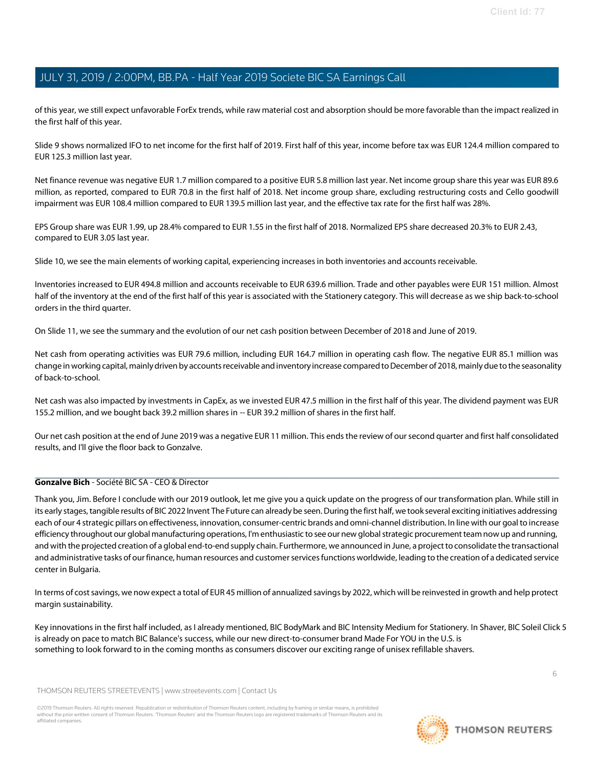of this year, we still expect unfavorable ForEx trends, while raw material cost and absorption should be more favorable than the impact realized in the first half of this year.

Slide 9 shows normalized IFO to net income for the first half of 2019. First half of this year, income before tax was EUR 124.4 million compared to EUR 125.3 million last year.

Net finance revenue was negative EUR 1.7 million compared to a positive EUR 5.8 million last year. Net income group share this year was EUR 89.6 million, as reported, compared to EUR 70.8 in the first half of 2018. Net income group share, excluding restructuring costs and Cello goodwill impairment was EUR 108.4 million compared to EUR 139.5 million last year, and the effective tax rate for the first half was 28%.

EPS Group share was EUR 1.99, up 28.4% compared to EUR 1.55 in the first half of 2018. Normalized EPS share decreased 20.3% to EUR 2.43, compared to EUR 3.05 last year.

Slide 10, we see the main elements of working capital, experiencing increases in both inventories and accounts receivable.

Inventories increased to EUR 494.8 million and accounts receivable to EUR 639.6 million. Trade and other payables were EUR 151 million. Almost half of the inventory at the end of the first half of this year is associated with the Stationery category. This will decrease as we ship back-to-school orders in the third quarter.

On Slide 11, we see the summary and the evolution of our net cash position between December of 2018 and June of 2019.

Net cash from operating activities was EUR 79.6 million, including EUR 164.7 million in operating cash flow. The negative EUR 85.1 million was change in working capital, mainlydriven by accountsreceivable and inventory increase comparedtoDecember of 2018, mainly due tothe seasonality of back-to-school.

Net cash was also impacted by investments in CapEx, as we invested EUR 47.5 million in the first half of this year. The dividend payment was EUR 155.2 million, and we bought back 39.2 million shares in -- EUR 39.2 million of shares in the first half.

Our net cash position at the end of June 2019 was a negative EUR 11 million. This ends the review of our second quarter and first half consolidated results, and I'll give the floor back to Gonzalve.

## Gonzalve Bich - Société BIC SA - CEO & Director

Thank you, Jim. Before I conclude with our 2019 outlook, let me give you a quick update on the progress of our transformation plan. While still in its early stages, tangible results of BIC 2022 Invent The Future can already be seen. During the first half, we took several exciting initiatives addressing each of our 4 strategic pillars on effectiveness, innovation, consumer-centric brands and omni-channel distribution. In line with our goalto increase efficiency throughout our global manufacturing operations, I'm enthusiastic to see our new globalstrategic procurement team now up and running, and with the projected creation of a global end-to-end supply chain. Furthermore, we announced in June, a projectto consolidate the transactional and administrative tasks of our finance, human resources and customerservicesfunctions worldwide, leading to the creation of a dedicated service center in Bulgaria.

In terms of costsavings, we now expect a total of EUR 45 million of annualized savings by 2022, which will be reinvested in growth and help protect margin sustainability.

Key innovations in the first half included, as I already mentioned, BIC BodyMark and BIC Intensity Medium for Stationery. In Shaver, BIC Soleil Click 5 is already on pace to match BIC Balance's success, while our new direct-to-consumer brand Made For YOU in the U.S. is something to look forward to in the coming months as consumers discover our exciting range of unisex refillable shavers.

THOMSON REUTERS STREETEVENTS | www.streetevents.com | Contact Us

©2019 Thomson Reuters. All rights reserved. Republication or redistribution of Thomson Reuters content, including by framing or similar means, is prohibited without the prior written consent of Thomson Reuters. 'Thomson Reuters' and the Thomson Reuters logo are registered trademarks of Thomson Reuters and its affiliated companies.

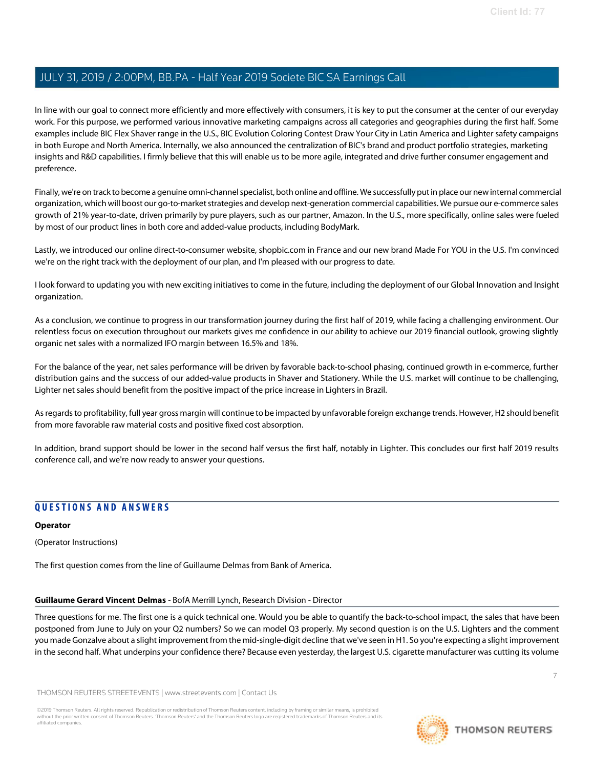In line with our goal to connect more efficiently and more effectively with consumers, it is key to put the consumer at the center of our everyday work. For this purpose, we performed various innovative marketing campaigns across all categories and geographies during the first half. Some examples include BIC Flex Shaver range in the U.S., BIC Evolution Coloring Contest Draw Your City in Latin America and Lighter safety campaigns in both Europe and North America. Internally, we also announced the centralization of BIC's brand and product portfolio strategies, marketing insights and R&D capabilities. I firmly believe that this will enable us to be more agile, integrated and drive further consumer engagement and preference.

Finally, we're on track to become a genuine omni-channel specialist, both online and offline. We successfully put in place our new internal commercial organization, which will boost our go-to-market strategies and develop next-generation commercial capabilities. We pursue our e-commerce sales growth of 21% year-to-date, driven primarily by pure players, such as our partner, Amazon. In the U.S., more specifically, online sales were fueled by most of our product lines in both core and added-value products, including BodyMark.

Lastly, we introduced our online direct-to-consumer website, shopbic.com in France and our new brand Made For YOU in the U.S. I'm convinced we're on the right track with the deployment of our plan, and I'm pleased with our progress to date.

I look forward to updating you with new exciting initiatives to come in the future, including the deployment of our Global Innovation and Insight organization.

As a conclusion, we continue to progress in our transformation journey during the first half of 2019, while facing a challenging environment. Our relentless focus on execution throughout our markets gives me confidence in our ability to achieve our 2019 financial outlook, growing slightly organic net sales with a normalized IFO margin between 16.5% and 18%.

For the balance of the year, net sales performance will be driven by favorable back-to-school phasing, continued growth in e-commerce, further distribution gains and the success of our added-value products in Shaver and Stationery. While the U.S. market will continue to be challenging, Lighter net sales should benefit from the positive impact of the price increase in Lighters in Brazil.

Asregardsto profitability, full year gross margin will continue to be impacted by unfavorable foreign exchange trends. However, H2 should benefit from more favorable raw material costs and positive fixed cost absorption.

In addition, brand support should be lower in the second half versus the first half, notably in Lighter. This concludes our first half 2019 results conference call, and we're now ready to answer your questions.

# QUESTIONS AND ANSWERS

## Operator

(Operator Instructions)

The first question comes from the line of Guillaume Delmas from Bank of America.

#### Guillaume Gerard Vincent Delmas - BofA Merrill Lynch, Research Division - Director

Three questions for me. The first one is a quick technical one. Would you be able to quantify the back-to-school impact, the sales that have been postponed from June to July on your Q2 numbers? So we can model Q3 properly. My second question is on the U.S. Lighters and the comment you made Gonzalve about a slight improvement from the mid-single-digit decline that we've seen in H1. So you're expecting a slight improvement in the second half. What underpins your confidence there? Because even yesterday, the largest U.S. cigarette manufacturer was cutting its volume

THOMSON REUTERS STREETEVENTS | www.streetevents.com | Contact Us

©2019 Thomson Reuters. All rights reserved. Republication or redistribution of Thomson Reuters content, including by framing or similar means, is prohibited without the prior written consent of Thomson Reuters. 'Thomson Reuters' and the Thomson Reuters logo are registered trademarks of Thomson Reuters and its affiliated companies.



7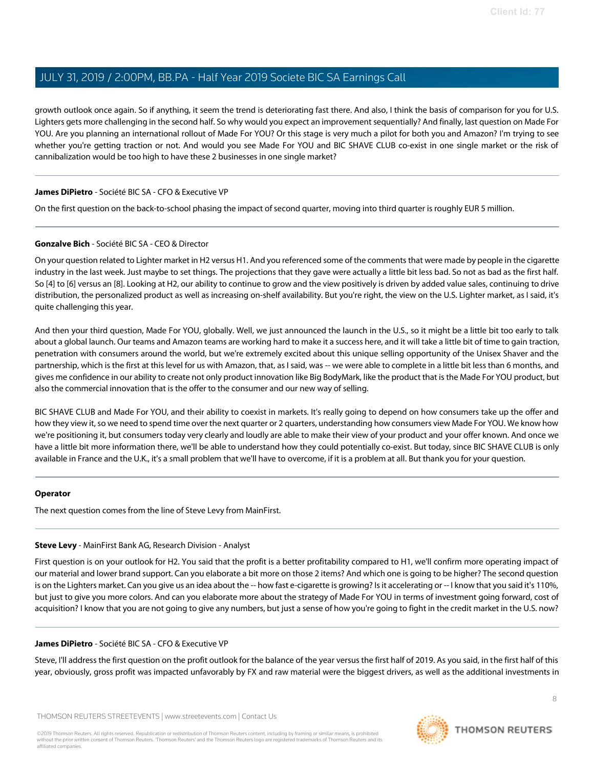growth outlook once again. So if anything, it seem the trend is deteriorating fast there. And also, I think the basis of comparison for you for U.S. Lighters gets more challenging in the second half. So why would you expect an improvement sequentially? And finally, last question on Made For YOU. Are you planning an international rollout of Made For YOU? Or this stage is very much a pilot for both you and Amazon? I'm trying to see whether you're getting traction or not. And would you see Made For YOU and BIC SHAVE CLUB co-exist in one single market or the risk of cannibalization would be too high to have these 2 businesses in one single market?

## James DiPietro - Société BIC SA - CFO & Executive VP

On the first question on the back-to-school phasing the impact of second quarter, moving into third quarter is roughly EUR 5 million.

## Gonzalve Bich - Société BIC SA - CEO & Director

On your question related to Lighter market in H2 versus H1. And you referenced some of the comments that were made by people in the cigarette industry in the last week. Just maybe to set things. The projections that they gave were actually a little bit less bad. So not as bad as the first half. So [4] to [6] versus an [8]. Looking at H2, our ability to continue to grow and the view positively is driven by added value sales, continuing to drive distribution, the personalized product as well as increasing on-shelf availability. But you're right, the view on the U.S. Lighter market, as I said, it's quite challenging this year.

And then your third question, Made For YOU, globally. Well, we just announced the launch in the U.S., so it might be a little bit too early to talk about a global launch. Our teams and Amazon teams are working hard to make it a success here, and it will take a little bit of time to gain traction, penetration with consumers around the world, but we're extremely excited about this unique selling opportunity of the Unisex Shaver and the partnership, which is the first at this level for us with Amazon, that, as I said, was -- we were able to complete in a little bit less than 6 months, and gives me confidence in our ability to create not only product innovation like Big BodyMark, like the product that is the Made For YOU product, but also the commercial innovation that is the offer to the consumer and our new way of selling.

BIC SHAVE CLUB and Made For YOU, and their ability to coexist in markets. It's really going to depend on how consumers take up the offer and how they view it, so we need to spend time over the next quarter or 2 quarters, understanding how consumers view Made For YOU. We know how we're positioning it, but consumers today very clearly and loudly are able to make their view of your product and your offer known. And once we have a little bit more information there, we'll be able to understand how they could potentially co-exist. But today, since BIC SHAVE CLUB is only available in France and the U.K., it's a small problem that we'll have to overcome, if it is a problem at all. But thank you for your question.

#### Operator

The next question comes from the line of Steve Levy from MainFirst.

## Steve Levy - MainFirst Bank AG, Research Division - Analyst

First question is on your outlook for H2. You said that the profit is a better profitability compared to H1, we'll confirm more operating impact of our material and lower brand support. Can you elaborate a bit more on those 2 items? And which one is going to be higher? The second question is on the Lighters market. Can you give us an idea about the -- how fast e-cigarette is growing? Is it accelerating or -- I know that you said it's 110%, but just to give you more colors. And can you elaborate more about the strategy of Made For YOU in terms of investment going forward, cost of acquisition? I know that you are not going to give any numbers, but just a sense of how you're going to fight in the credit market in the U.S. now?

#### James DiPietro - Société BIC SA - CFO & Executive VP

Steve, I'll address the first question on the profit outlook for the balance of the year versus the first half of 2019. As you said, in the first half of this year, obviously, gross profit was impacted unfavorably by FX and raw material were the biggest drivers, as well as the additional investments in

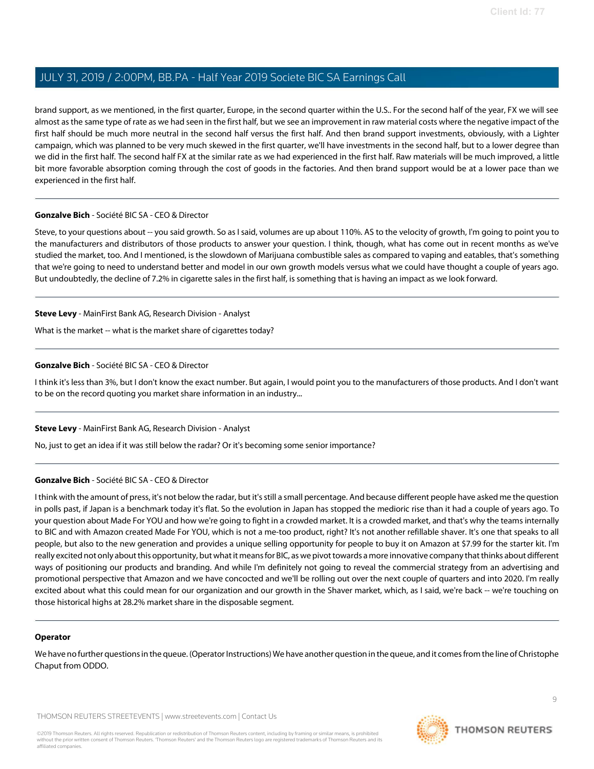brand support, as we mentioned, in the first quarter, Europe, in the second quarter within the U.S.. For the second half of the year, FX we will see almost asthe same type of rate as we had seen in the first half, but we see an improvement in raw material costs where the negative impact of the first half should be much more neutral in the second half versus the first half. And then brand support investments, obviously, with a Lighter campaign, which was planned to be very much skewed in the first quarter, we'll have investments in the second half, but to a lower degree than we did in the first half. The second half FX at the similar rate as we had experienced in the first half. Raw materials will be much improved, a little bit more favorable absorption coming through the cost of goods in the factories. And then brand support would be at a lower pace than we experienced in the first half.

#### Gonzalve Bich - Société BIC SA - CEO & Director

Steve, to your questions about -- you said growth. So as I said, volumes are up about 110%. AS to the velocity of growth, I'm going to point you to the manufacturers and distributors of those products to answer your question. I think, though, what has come out in recent months as we've studied the market, too. And I mentioned, is the slowdown of Marijuana combustible sales as compared to vaping and eatables, that's something that we're going to need to understand better and model in our own growth models versus what we could have thought a couple of years ago. But undoubtedly, the decline of 7.2% in cigarette sales in the first half, is something that is having an impact as we look forward.

## Steve Levy - MainFirst Bank AG, Research Division - Analyst

What is the market -- what is the market share of cigarettes today?

## Gonzalve Bich - Société BIC SA - CEO & Director

I think it's less than 3%, but I don't know the exact number. But again, I would point you to the manufacturers of those products. And I don't want to be on the record quoting you market share information in an industry...

#### Steve Levy - MainFirst Bank AG, Research Division - Analyst

No, just to get an idea if it was still below the radar? Or it's becoming some senior importance?

## Gonzalve Bich - Société BIC SA - CEO & Director

I think with the amount of press, it's not below the radar, but it's still a small percentage. And because different people have asked me the question in polls past, if Japan is a benchmark today it's flat. So the evolution in Japan has stopped the medioric rise than it had a couple of years ago. To your question about Made For YOU and how we're going to fight in a crowded market. It is a crowded market, and that's why the teams internally to BIC and with Amazon created Made For YOU, which is not a me-too product, right? It's not another refillable shaver. It's one that speaks to all people, but also to the new generation and provides a unique selling opportunity for people to buy it on Amazon at \$7.99 for the starter kit. I'm really excited not only about this opportunity, but what it means for BIC, as we pivot towards a more innovative company that thinks about different ways of positioning our products and branding. And while I'm definitely not going to reveal the commercial strategy from an advertising and promotional perspective that Amazon and we have concocted and we'll be rolling out over the next couple of quarters and into 2020. I'm really excited about what this could mean for our organization and our growth in the Shaver market, which, as I said, we're back -- we're touching on those historical highs at 28.2% market share in the disposable segment.

#### Operator

We have no further questions in the queue. (Operator Instructions) We have another question in the queue, and it comes from the line of Christophe Chaput from ODDO.

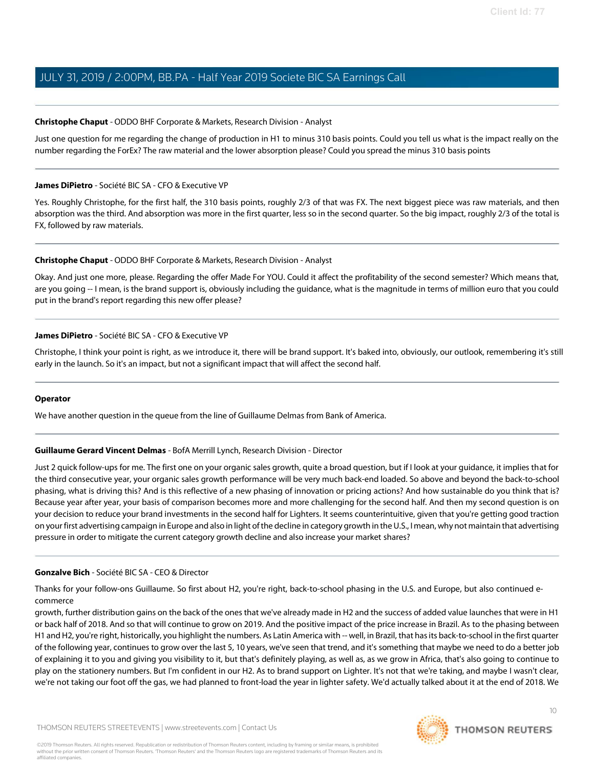#### Christophe Chaput - ODDO BHF Corporate & Markets, Research Division - Analyst

Just one question for me regarding the change of production in H1 to minus 310 basis points. Could you tell us what is the impact really on the number regarding the ForEx? The raw material and the lower absorption please? Could you spread the minus 310 basis points

#### James DiPietro - Société BIC SA - CFO & Executive VP

Yes. Roughly Christophe, for the first half, the 310 basis points, roughly 2/3 of that was FX. The next biggest piece was raw materials, and then absorption was the third. And absorption was more in the first quarter, less so in the second quarter. So the big impact, roughly 2/3 of the total is FX, followed by raw materials.

#### Christophe Chaput - ODDO BHF Corporate & Markets, Research Division - Analyst

Okay. And just one more, please. Regarding the offer Made For YOU. Could it affect the profitability of the second semester? Which means that, are you going -- I mean, is the brand support is, obviously including the guidance, what is the magnitude in terms of million euro that you could put in the brand's report regarding this new offer please?

#### James DiPietro - Société BIC SA - CFO & Executive VP

Christophe, I think your point is right, as we introduce it, there will be brand support. It's baked into, obviously, our outlook, remembering it's still early in the launch. So it's an impact, but not a significant impact that will affect the second half.

#### Operator

We have another question in the queue from the line of Guillaume Delmas from Bank of America.

#### Guillaume Gerard Vincent Delmas - BofA Merrill Lynch, Research Division - Director

Just 2 quick follow-ups for me. The first one on your organic sales growth, quite a broad question, but if I look at your guidance, it implies that for the third consecutive year, your organic sales growth performance will be very much back-end loaded. So above and beyond the back-to-school phasing, what is driving this? And is this reflective of a new phasing of innovation or pricing actions? And how sustainable do you think that is? Because year after year, your basis of comparison becomes more and more challenging for the second half. And then my second question is on your decision to reduce your brand investments in the second half for Lighters. It seems counterintuitive, given that you're getting good traction on your first advertising campaign in Europe and also in light ofthe decline in category growth in theU.S., I mean, why not maintain that advertising pressure in order to mitigate the current category growth decline and also increase your market shares?

#### Gonzalve Bich - Société BIC SA - CEO & Director

Thanks for your follow-ons Guillaume. So first about H2, you're right, back-to-school phasing in the U.S. and Europe, but also continued ecommerce

growth, further distribution gains on the back of the ones that we've already made in H2 and the success of added value launches that were in H1 or back half of 2018. And so that will continue to grow on 2019. And the positive impact of the price increase in Brazil. As to the phasing between H1 and H2, you're right, historically, you highlight the numbers. As Latin America with -- well, in Brazil, that hasits back-to-school in the first quarter of the following year, continues to grow over the last 5, 10 years, we've seen that trend, and it's something that maybe we need to do a better job of explaining it to you and giving you visibility to it, but that's definitely playing, as well as, as we grow in Africa, that's also going to continue to play on the stationery numbers. But I'm confident in our H2. As to brand support on Lighter. It's not that we're taking, and maybe I wasn't clear, we're not taking our foot off the gas, we had planned to front-load the year in lighter safety. We'd actually talked about it at the end of 2018. We

10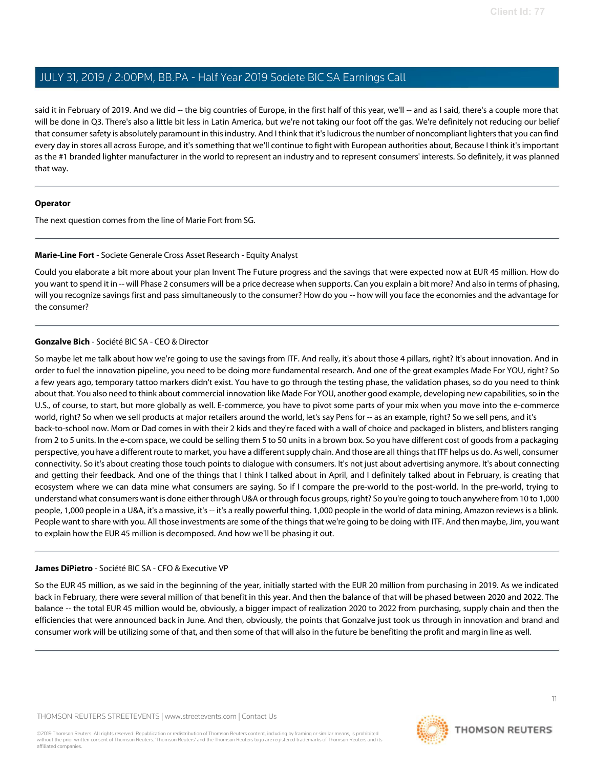said it in February of 2019. And we did -- the big countries of Europe, in the first half of this year, we'll -- and as I said, there's a couple more that will be done in Q3. There's also a little bit less in Latin America, but we're not taking our foot off the gas. We're definitely not reducing our belief that consumer safety is absolutely paramount in this industry. And I think that it's ludicrous the number of noncompliant lighters that you can find every day in stores all across Europe, and it'ssomething that we'll continue to fight with European authorities about, Because I think it'simportant as the #1 branded lighter manufacturer in the world to represent an industry and to represent consumers' interests. So definitely, it was planned that way.

#### Operator

The next question comes from the line of Marie Fort from SG.

#### Marie-Line Fort - Societe Generale Cross Asset Research - Equity Analyst

Could you elaborate a bit more about your plan Invent The Future progress and the savings that were expected now at EUR 45 million. How do you want to spend it in -- will Phase 2 consumers will be a price decrease when supports. Can you explain a bit more? And also in terms of phasing, will you recognize savings first and pass simultaneously to the consumer? How do you -- how will you face the economies and the advantage for the consumer?

## Gonzalve Bich - Société BIC SA - CEO & Director

So maybe let me talk about how we're going to use the savings from ITF. And really, it's about those 4 pillars, right? It's about innovation. And in order to fuel the innovation pipeline, you need to be doing more fundamental research. And one of the great examples Made For YOU, right? So a few years ago, temporary tattoo markers didn't exist. You have to go through the testing phase, the validation phases, so do you need to think about that. You also need to think about commercial innovation like Made For YOU, another good example, developing new capabilities, so in the U.S., of course, to start, but more globally as well. E-commerce, you have to pivot some parts of your mix when you move into the e-commerce world, right? So when we sell products at major retailers around the world, let's say Pens for -- as an example, right? So we sell pens, and it's back-to-school now. Mom or Dad comes in with their 2 kids and they're faced with a wall of choice and packaged in blisters, and blisters ranging from 2 to 5 units. In the e-com space, we could be selling them 5 to 50 units in a brown box. So you have different cost of goods from a packaging perspective, you have a different route to market, you have a different supply chain. And those are all things that ITF helps us do. As well, consumer connectivity. So it's about creating those touch points to dialogue with consumers. It's not just about advertising anymore. It's about connecting and getting their feedback. And one of the things that I think I talked about in April, and I definitely talked about in February, is creating that ecosystem where we can data mine what consumers are saying. So if I compare the pre-world to the post-world. In the pre-world, trying to understand what consumers want is done either through U&A or through focus groups, right? So you're going to touch anywhere from 10 to 1,000 people, 1,000 people in a U&A, it's a massive, it's -- it's a really powerful thing. 1,000 people in the world of data mining, Amazon reviews is a blink. People want to share with you. All those investments are some of the things that we're going to be doing with ITF. And then maybe, Jim, you want to explain how the EUR 45 million is decomposed. And how we'll be phasing it out.

#### James DiPietro - Société BIC SA - CFO & Executive VP

So the EUR 45 million, as we said in the beginning of the year, initially started with the EUR 20 million from purchasing in 2019. As we indicated back in February, there were several million of that benefit in this year. And then the balance of that will be phased between 2020 and 2022. The balance -- the total EUR 45 million would be, obviously, a bigger impact of realization 2020 to 2022 from purchasing, supply chain and then the efficiencies that were announced back in June. And then, obviously, the points that Gonzalve just took us through in innovation and brand and consumer work will be utilizing some of that, and then some of that will also in the future be benefiting the profit and margin line as well.